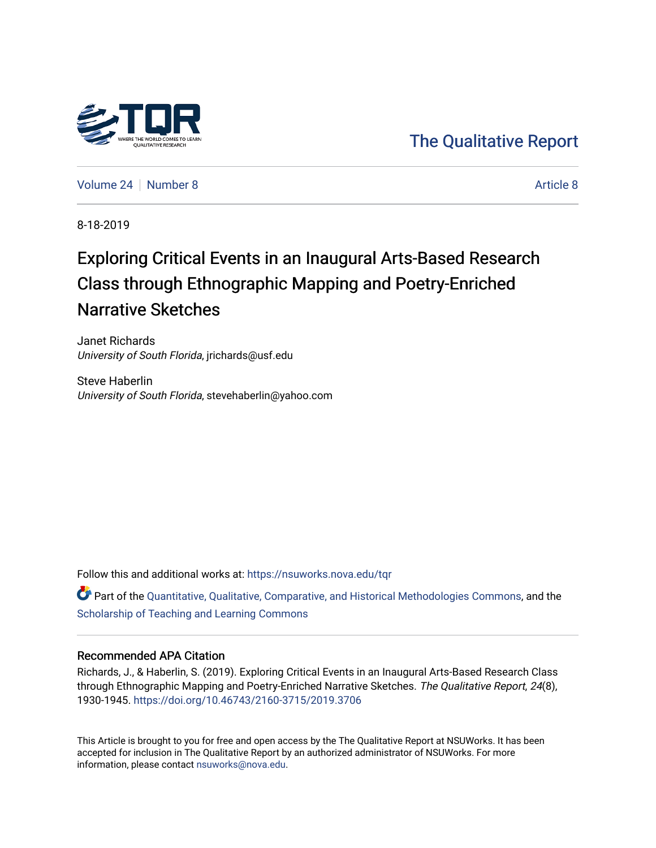

[The Qualitative Report](https://nsuworks.nova.edu/tqr) 

[Volume 24](https://nsuworks.nova.edu/tqr/vol24) | [Number 8](https://nsuworks.nova.edu/tqr/vol24/iss8) [Article 8](https://nsuworks.nova.edu/tqr/vol24/iss8/8) Article 8 Article 8 Article 8 Article 8 Article 8 Article 8 Article 8 Article 8

8-18-2019

# Exploring Critical Events in an Inaugural Arts-Based Research Class through Ethnographic Mapping and Poetry-Enriched Narrative Sketches

Janet Richards University of South Florida, jrichards@usf.edu

Steve Haberlin University of South Florida, stevehaberlin@yahoo.com

Follow this and additional works at: [https://nsuworks.nova.edu/tqr](https://nsuworks.nova.edu/tqr?utm_source=nsuworks.nova.edu%2Ftqr%2Fvol24%2Fiss8%2F8&utm_medium=PDF&utm_campaign=PDFCoverPages) 

Part of the [Quantitative, Qualitative, Comparative, and Historical Methodologies Commons,](http://network.bepress.com/hgg/discipline/423?utm_source=nsuworks.nova.edu%2Ftqr%2Fvol24%2Fiss8%2F8&utm_medium=PDF&utm_campaign=PDFCoverPages) and the [Scholarship of Teaching and Learning Commons](http://network.bepress.com/hgg/discipline/1328?utm_source=nsuworks.nova.edu%2Ftqr%2Fvol24%2Fiss8%2F8&utm_medium=PDF&utm_campaign=PDFCoverPages) 

### Recommended APA Citation

Richards, J., & Haberlin, S. (2019). Exploring Critical Events in an Inaugural Arts-Based Research Class through Ethnographic Mapping and Poetry-Enriched Narrative Sketches. The Qualitative Report, 24(8), 1930-1945. <https://doi.org/10.46743/2160-3715/2019.3706>

This Article is brought to you for free and open access by the The Qualitative Report at NSUWorks. It has been accepted for inclusion in The Qualitative Report by an authorized administrator of NSUWorks. For more information, please contact [nsuworks@nova.edu.](mailto:nsuworks@nova.edu)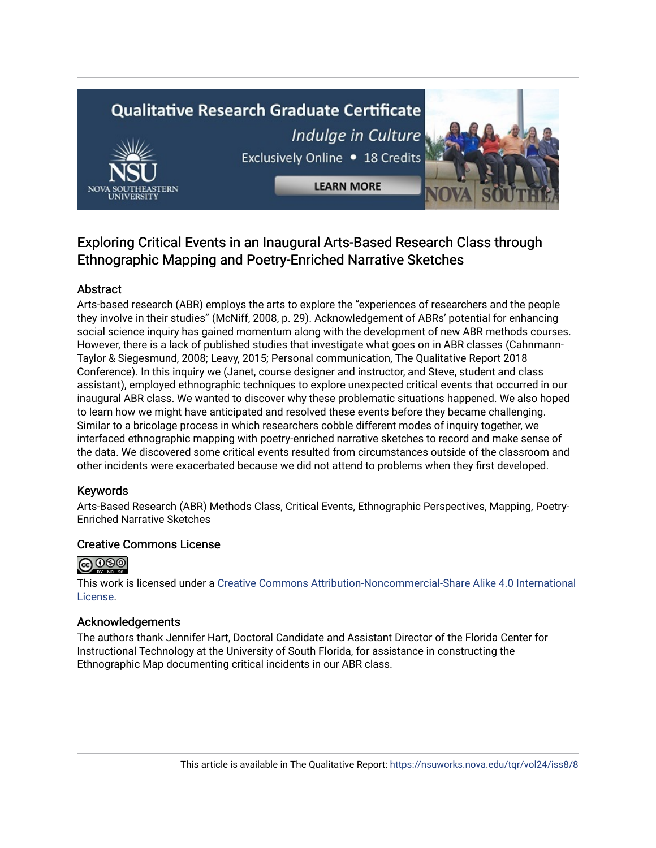# **Qualitative Research Graduate Certificate** Indulge in Culture Exclusively Online . 18 Credits



**LEARN MORE** 

## Exploring Critical Events in an Inaugural Arts-Based Research Class through Ethnographic Mapping and Poetry-Enriched Narrative Sketches

### Abstract

Arts-based research (ABR) employs the arts to explore the "experiences of researchers and the people they involve in their studies" (McNiff, 2008, p. 29). Acknowledgement of ABRs' potential for enhancing social science inquiry has gained momentum along with the development of new ABR methods courses. However, there is a lack of published studies that investigate what goes on in ABR classes (Cahnmann-Taylor & Siegesmund, 2008; Leavy, 2015; Personal communication, The Qualitative Report 2018 Conference). In this inquiry we (Janet, course designer and instructor, and Steve, student and class assistant), employed ethnographic techniques to explore unexpected critical events that occurred in our inaugural ABR class. We wanted to discover why these problematic situations happened. We also hoped to learn how we might have anticipated and resolved these events before they became challenging. Similar to a bricolage process in which researchers cobble different modes of inquiry together, we interfaced ethnographic mapping with poetry-enriched narrative sketches to record and make sense of the data. We discovered some critical events resulted from circumstances outside of the classroom and other incidents were exacerbated because we did not attend to problems when they first developed.

### Keywords

Arts-Based Research (ABR) Methods Class, Critical Events, Ethnographic Perspectives, Mapping, Poetry-Enriched Narrative Sketches

### Creative Commons License



This work is licensed under a [Creative Commons Attribution-Noncommercial-Share Alike 4.0 International](https://creativecommons.org/licenses/by-nc-sa/4.0/)  [License](https://creativecommons.org/licenses/by-nc-sa/4.0/).

### Acknowledgements

The authors thank Jennifer Hart, Doctoral Candidate and Assistant Director of the Florida Center for Instructional Technology at the University of South Florida, for assistance in constructing the Ethnographic Map documenting critical incidents in our ABR class.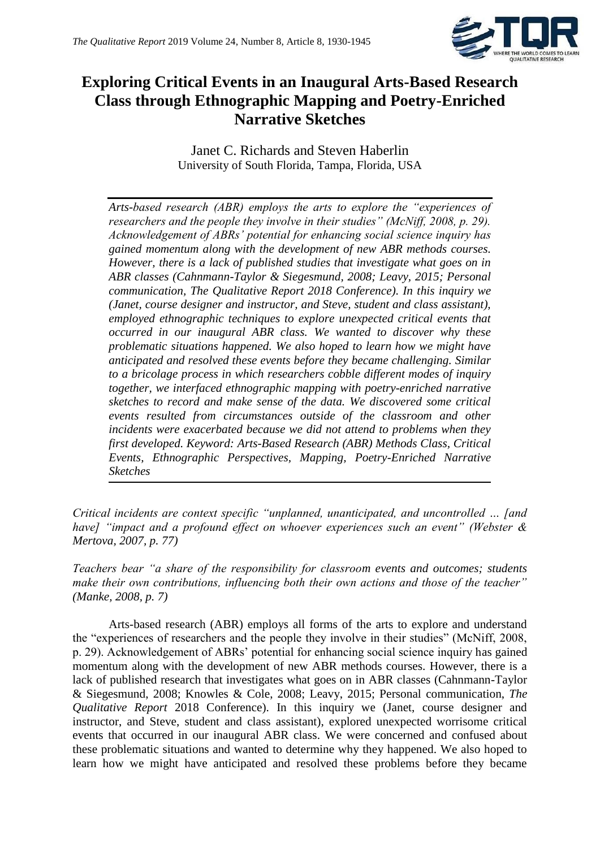

## **Exploring Critical Events in an Inaugural Arts-Based Research Class through Ethnographic Mapping and Poetry-Enriched Narrative Sketches**

Janet C. Richards and Steven Haberlin University of South Florida, Tampa, Florida, USA

*Arts-based research (ABR) employs the arts to explore the "experiences of researchers and the people they involve in their studies" (McNiff, 2008, p. 29). Acknowledgement of ABRs' potential for enhancing social science inquiry has gained momentum along with the development of new ABR methods courses. However, there is a lack of published studies that investigate what goes on in ABR classes (Cahnmann-Taylor & Siegesmund, 2008; Leavy, 2015; Personal communication, The Qualitative Report 2018 Conference). In this inquiry we (Janet, course designer and instructor, and Steve, student and class assistant), employed ethnographic techniques to explore unexpected critical events that occurred in our inaugural ABR class. We wanted to discover why these problematic situations happened. We also hoped to learn how we might have anticipated and resolved these events before they became challenging. Similar to a bricolage process in which researchers cobble different modes of inquiry together, we interfaced ethnographic mapping with poetry-enriched narrative sketches to record and make sense of the data. We discovered some critical events resulted from circumstances outside of the classroom and other incidents were exacerbated because we did not attend to problems when they first developed. Keyword: Arts-Based Research (ABR) Methods Class, Critical Events, Ethnographic Perspectives, Mapping, Poetry-Enriched Narrative Sketches*

*Critical incidents are context specific "unplanned, unanticipated, and uncontrolled … [and have]* "impact and a profound effect on whoever experiences such an event" (Webster & *Mertova, 2007, p. 77)*

*Teachers bear "a share of the responsibility for classroom events and outcomes; students make their own contributions, influencing both their own actions and those of the teacher" (Manke, 2008, p. 7)*

Arts-based research (ABR) employs all forms of the arts to explore and understand the "experiences of researchers and the people they involve in their studies" (McNiff, 2008, p. 29). Acknowledgement of ABRs' potential for enhancing social science inquiry has gained momentum along with the development of new ABR methods courses. However, there is a lack of published research that investigates what goes on in ABR classes (Cahnmann-Taylor & Siegesmund, 2008; Knowles & Cole, 2008; Leavy, 2015; Personal communication, *The Qualitative Report* 2018 Conference). In this inquiry we (Janet, course designer and instructor, and Steve, student and class assistant), explored unexpected worrisome critical events that occurred in our inaugural ABR class. We were concerned and confused about these problematic situations and wanted to determine why they happened. We also hoped to learn how we might have anticipated and resolved these problems before they became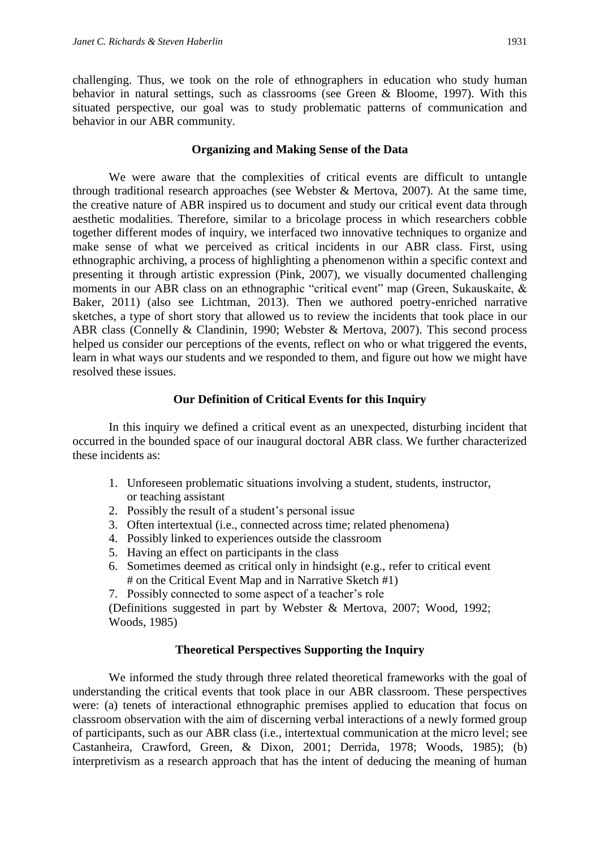challenging. Thus, we took on the role of ethnographers in education who study human behavior in natural settings, such as classrooms (see Green & Bloome, 1997). With this situated perspective, our goal was to study problematic patterns of communication and behavior in our ABR community.

### **Organizing and Making Sense of the Data**

We were aware that the complexities of critical events are difficult to untangle through traditional research approaches (see Webster & Mertova, 2007). At the same time, the creative nature of ABR inspired us to document and study our critical event data through aesthetic modalities. Therefore, similar to a bricolage process in which researchers cobble together different modes of inquiry, we interfaced two innovative techniques to organize and make sense of what we perceived as critical incidents in our ABR class. First, using ethnographic archiving, a process of highlighting a phenomenon within a specific context and presenting it through artistic expression (Pink, 2007), we visually documented challenging moments in our ABR class on an ethnographic "critical event" map (Green, Sukauskaite, & Baker, 2011) (also see Lichtman, 2013). Then we authored poetry-enriched narrative sketches, a type of short story that allowed us to review the incidents that took place in our ABR class (Connelly & Clandinin, 1990; Webster & Mertova, 2007). This second process helped us consider our perceptions of the events, reflect on who or what triggered the events, learn in what ways our students and we responded to them, and figure out how we might have resolved these issues.

### **Our Definition of Critical Events for this Inquiry**

In this inquiry we defined a critical event as an unexpected, disturbing incident that occurred in the bounded space of our inaugural doctoral ABR class. We further characterized these incidents as:

- 1. Unforeseen problematic situations involving a student, students, instructor, or teaching assistant
- 2. Possibly the result of a student's personal issue
- 3. Often intertextual (i.e., connected across time; related phenomena)
- 4. Possibly linked to experiences outside the classroom
- 5. Having an effect on participants in the class
- 6. Sometimes deemed as critical only in hindsight (e.g., refer to critical event # on the Critical Event Map and in Narrative Sketch #1)
- 7. Possibly connected to some aspect of a teacher's role

(Definitions suggested in part by Webster & Mertova, 2007; Wood, 1992; Woods, 1985)

### **Theoretical Perspectives Supporting the Inquiry**

We informed the study through three related theoretical frameworks with the goal of understanding the critical events that took place in our ABR classroom. These perspectives were: (a) tenets of interactional ethnographic premises applied to education that focus on classroom observation with the aim of discerning verbal interactions of a newly formed group of participants, such as our ABR class (i.e., intertextual communication at the micro level; see Castanheira, Crawford, Green, & Dixon, 2001; Derrida, 1978; Woods, 1985); (b) interpretivism as a research approach that has the intent of deducing the meaning of human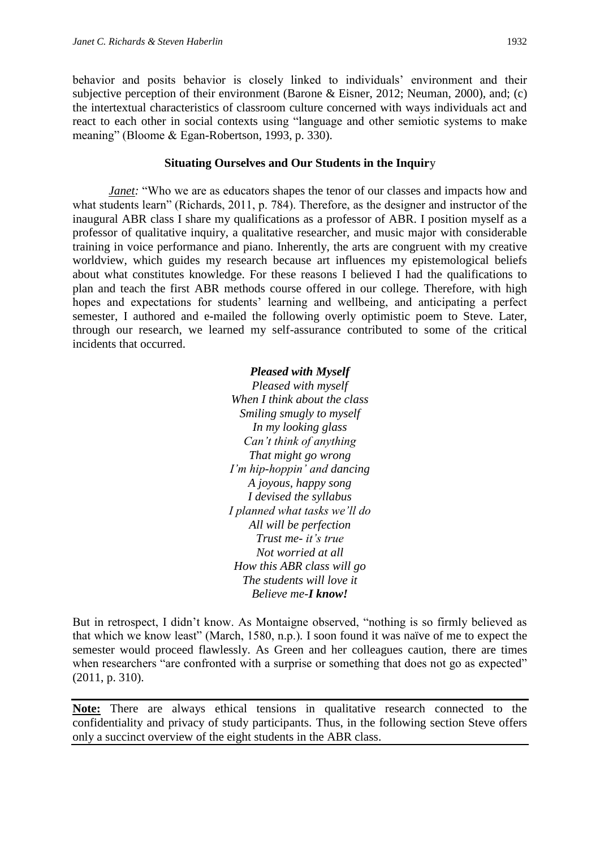behavior and posits behavior is closely linked to individuals' environment and their subjective perception of their environment (Barone & Eisner, 2012; Neuman, 2000), and; (c) the intertextual characteristics of classroom culture concerned with ways individuals act and react to each other in social contexts using "language and other semiotic systems to make meaning" (Bloome & Egan-Robertson, 1993, p. 330).

#### **Situating Ourselves and Our Students in the Inquir**y

*Janet:* "Who we are as educators shapes the tenor of our classes and impacts how and what students learn" (Richards, 2011, p. 784). Therefore, as the designer and instructor of the inaugural ABR class I share my qualifications as a professor of ABR. I position myself as a professor of qualitative inquiry, a qualitative researcher, and music major with considerable training in voice performance and piano. Inherently, the arts are congruent with my creative worldview, which guides my research because art influences my epistemological beliefs about what constitutes knowledge. For these reasons I believed I had the qualifications to plan and teach the first ABR methods course offered in our college. Therefore, with high hopes and expectations for students' learning and wellbeing, and anticipating a perfect semester, I authored and e-mailed the following overly optimistic poem to Steve. Later, through our research, we learned my self-assurance contributed to some of the critical incidents that occurred.

### *Pleased with Myself Pleased with myself When I think about the class Smiling smugly to myself In my looking glass Can't think of anything That might go wrong I'm hip-hoppin' and dancing A joyous, happy song I devised the syllabus I planned what tasks we'll do All will be perfection Trust me- it's true Not worried at all How this ABR class will go The students will love it Believe me-I know!*

But in retrospect, I didn't know. As Montaigne observed, "nothing is so firmly believed as that which we know least" (March, 1580, n.p.)*.* I soon found it was naïve of me to expect the semester would proceed flawlessly. As Green and her colleagues caution, there are times when researchers "are confronted with a surprise or something that does not go as expected" (2011, p. 310).

**Note:** There are always ethical tensions in qualitative research connected to the confidentiality and privacy of study participants. Thus, in the following section Steve offers only a succinct overview of the eight students in the ABR class.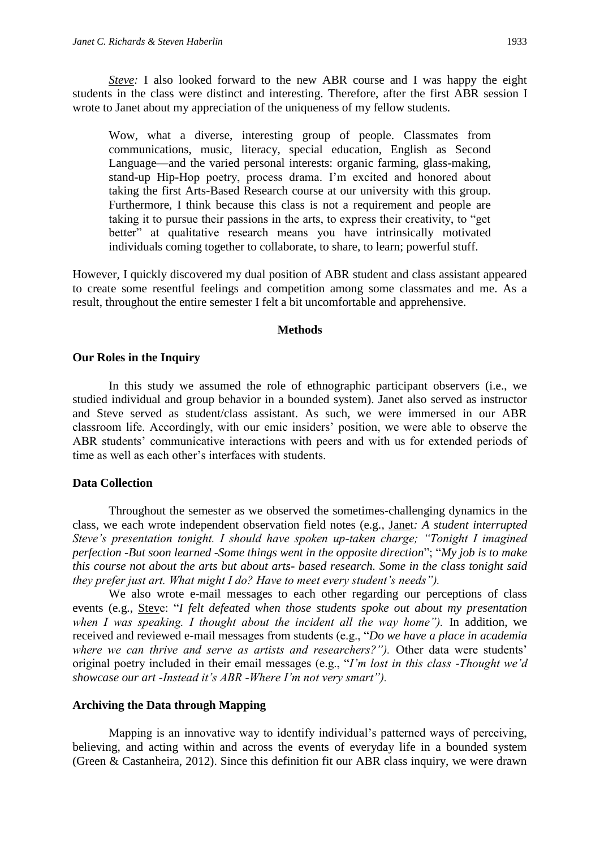Wow, what a diverse, interesting group of people. Classmates from communications, music, literacy, special education, English as Second Language—and the varied personal interests: organic farming, glass-making, stand-up Hip-Hop poetry, process drama. I'm excited and honored about taking the first Arts-Based Research course at our university with this group. Furthermore, I think because this class is not a requirement and people are taking it to pursue their passions in the arts, to express their creativity, to "get better" at qualitative research means you have intrinsically motivated individuals coming together to collaborate, to share, to learn; powerful stuff.

However, I quickly discovered my dual position of ABR student and class assistant appeared to create some resentful feelings and competition among some classmates and me. As a result, throughout the entire semester I felt a bit uncomfortable and apprehensive.

#### **Methods**

### **Our Roles in the Inquiry**

In this study we assumed the role of ethnographic participant observers (i.e., we studied individual and group behavior in a bounded system). Janet also served as instructor and Steve served as student/class assistant. As such, we were immersed in our ABR classroom life. Accordingly, with our emic insiders' position, we were able to observe the ABR students' communicative interactions with peers and with us for extended periods of time as well as each other's interfaces with students.

### **Data Collection**

Throughout the semester as we observed the sometimes-challenging dynamics in the class, we each wrote independent observation field notes (e.g*.,* Janet*: A student interrupted Steve's presentation tonight. I should have spoken up-taken charge; "Tonight I imagined perfection -But soon learned -Some things went in the opposite direction*"; "*My job is to make this course not about the arts but about arts- based research. Some in the class tonight said they prefer just art. What might I do? Have to meet every student's needs").*

We also wrote e-mail messages to each other regarding our perceptions of class events (e.g., Steve: "*I felt defeated when those students spoke out about my presentation when I was speaking. I thought about the incident all the way home").* In addition, we received and reviewed e-mail messages from students (e.g., "*Do we have a place in academia where we can thrive and serve as artists and researchers?").* Other data were students' original poetry included in their email messages (e.g., "*I'm lost in this class* -*Thought we'd showcase our art* -*Instead it's ABR -Where I'm not very smart").*

### **Archiving the Data through Mapping**

Mapping is an innovative way to identify individual's patterned ways of perceiving, believing, and acting within and across the events of everyday life in a bounded system (Green & Castanheira, 2012). Since this definition fit our ABR class inquiry, we were drawn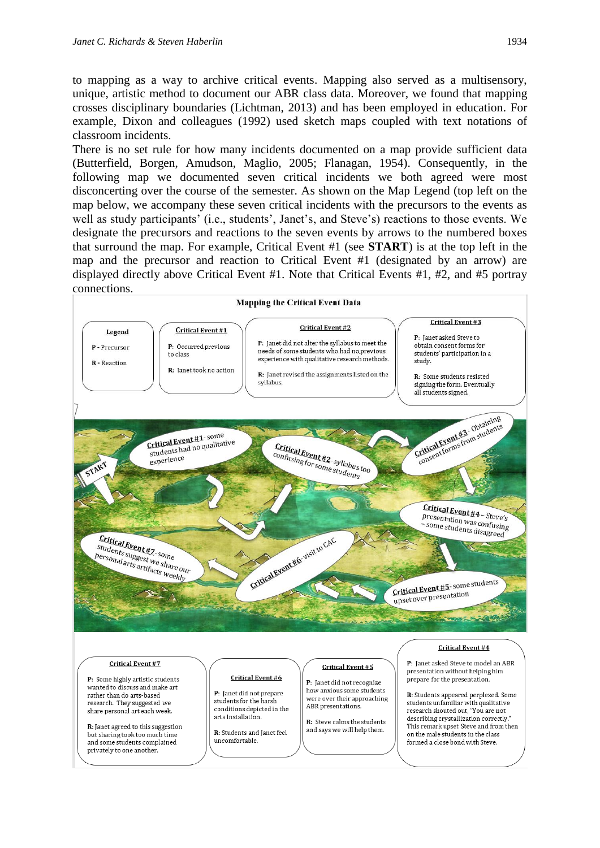to mapping as a way to archive critical events. Mapping also served as a multisensory, unique, artistic method to document our ABR class data. Moreover, we found that mapping crosses disciplinary boundaries (Lichtman, 2013) and has been employed in education. For example, Dixon and colleagues (1992) used sketch maps coupled with text notations of classroom incidents.

There is no set rule for how many incidents documented on a map provide sufficient data (Butterfield, Borgen, Amudson, Maglio, 2005; Flanagan, 1954). Consequently, in the following map we documented seven critical incidents we both agreed were most disconcerting over the course of the semester. As shown on the Map Legend (top left on the map below, we accompany these seven critical incidents with the precursors to the events as well as study participants' (i.e., students', Janet's, and Steve's) reactions to those events. We designate the precursors and reactions to the seven events by arrows to the numbered boxes that surround the map. For example, Critical Event #1 (see **START**) is at the top left in the map and the precursor and reaction to Critical Event #1 (designated by an arrow) are displayed directly above Critical Event #1. Note that Critical Events #1, #2, and #5 portray connections.

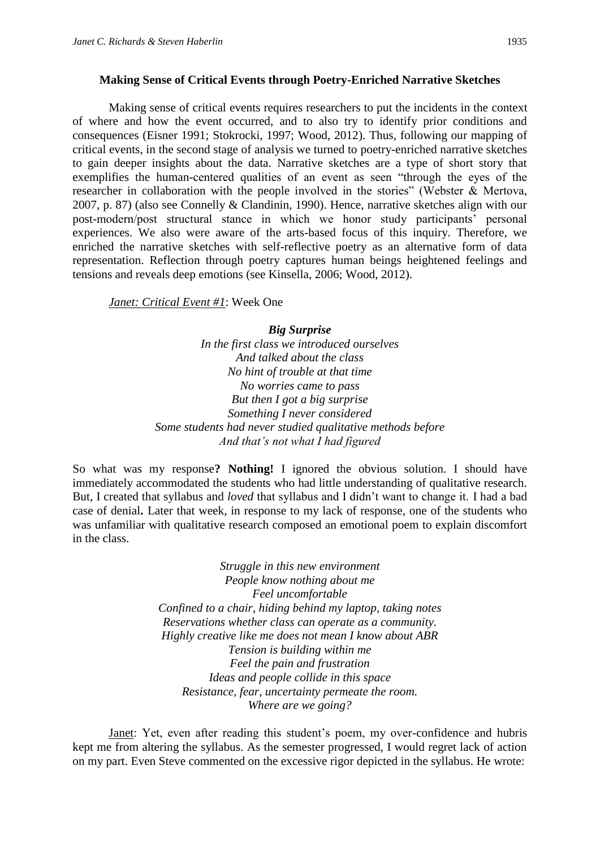### **Making Sense of Critical Events through Poetry-Enriched Narrative Sketches**

Making sense of critical events requires researchers to put the incidents in the context of where and how the event occurred, and to also try to identify prior conditions and consequences (Eisner 1991; Stokrocki, 1997; Wood, 2012). Thus, following our mapping of critical events, in the second stage of analysis we turned to poetry-enriched narrative sketches to gain deeper insights about the data. Narrative sketches are a type of short story that exemplifies the human-centered qualities of an event as seen "through the eyes of the researcher in collaboration with the people involved in the stories" (Webster & Mertova, 2007, p. 87) (also see Connelly & Clandinin, 1990). Hence, narrative sketches align with our post-modern/post structural stance in which we honor study participants' personal experiences. We also were aware of the arts-based focus of this inquiry. Therefore, we enriched the narrative sketches with self-reflective poetry as an alternative form of data representation. Reflection through poetry captures human beings heightened feelings and tensions and reveals deep emotions (see Kinsella, 2006; Wood, 2012).

*Janet: Critical Event #1*: Week One

*Big Surprise*

*In the first class we introduced ourselves And talked about the class No hint of trouble at that time No worries came to pass But then I got a big surprise Something I never considered Some students had never studied qualitative methods before And that's not what I had figured*

So what was my response**? Nothing!** I ignored the obvious solution. I should have immediately accommodated the students who had little understanding of qualitative research. But, I created that syllabus and *loved* that syllabus and I didn't want to change it. I had a bad case of denial**.** Later that week, in response to my lack of response, one of the students who was unfamiliar with qualitative research composed an emotional poem to explain discomfort in the class.

> *Struggle in this new environment People know nothing about me Feel uncomfortable Confined to a chair, hiding behind my laptop, taking notes Reservations whether class can operate as a community. Highly creative like me does not mean I know about ABR Tension is building within me Feel the pain and frustration Ideas and people collide in this space Resistance, fear, uncertainty permeate the room. Where are we going?*

Janet: Yet, even after reading this student's poem, my over-confidence and hubris kept me from altering the syllabus. As the semester progressed, I would regret lack of action on my part. Even Steve commented on the excessive rigor depicted in the syllabus. He wrote: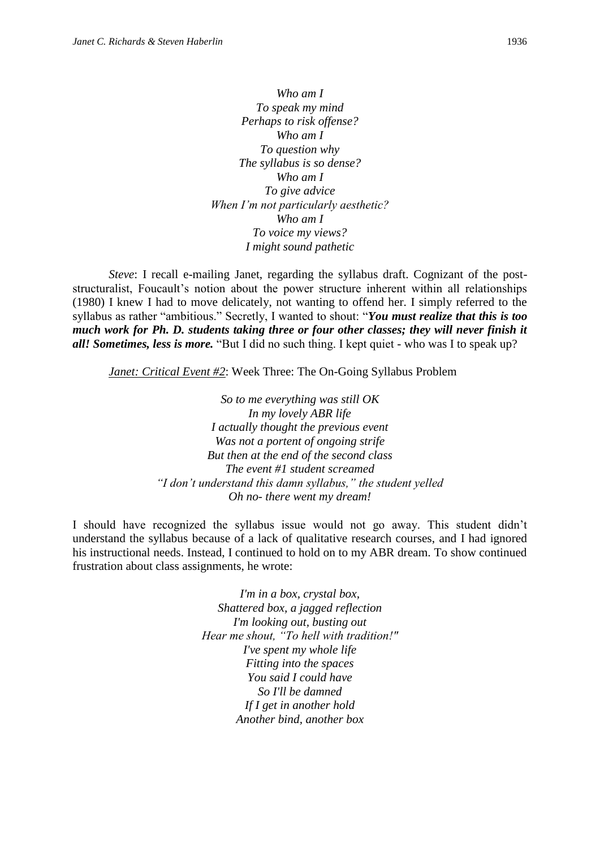*Who am I To speak my mind Perhaps to risk offense? Who am I To question why The syllabus is so dense? Who am I To give advice When I'm not particularly aesthetic? Who am I To voice my views? I might sound pathetic*

*Steve*: I recall e-mailing Janet, regarding the syllabus draft. Cognizant of the poststructuralist, Foucault's notion about the power structure inherent within all relationships (1980) I knew I had to move delicately, not wanting to offend her. I simply referred to the syllabus as rather "ambitious." Secretly, I wanted to shout: "*You must realize that this is too much work for Ph. D. students taking three or four other classes; they will never finish it all! Sometimes, less is more.* "But I did no such thing. I kept quiet - who was I to speak up?

*Janet: Critical Event #2*: Week Three: The On-Going Syllabus Problem

*So to me everything was still OK In my lovely ABR life I actually thought the previous event Was not a portent of ongoing strife But then at the end of the second class The event #1 student screamed "I don't understand this damn syllabus," the student yelled Oh no- there went my dream!*

I should have recognized the syllabus issue would not go away. This student didn't understand the syllabus because of a lack of qualitative research courses, and I had ignored his instructional needs. Instead, I continued to hold on to my ABR dream. To show continued frustration about class assignments, he wrote:

> *I'm in a box, crystal box, Shattered box, a jagged reflection I'm looking out, busting out Hear me shout, "To hell with tradition!" I've spent my whole life Fitting into the spaces You said I could have So I'll be damned If I get in another hold Another bind, another box*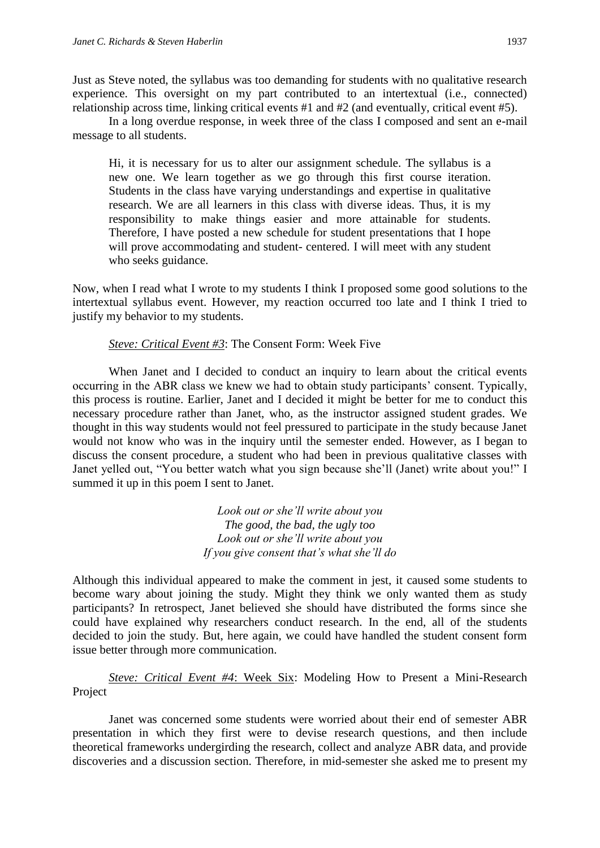Just as Steve noted, the syllabus was too demanding for students with no qualitative research experience. This oversight on my part contributed to an intertextual (i.e., connected) relationship across time, linking critical events #1 and #2 (and eventually, critical event #5).

In a long overdue response, in week three of the class I composed and sent an e-mail message to all students.

Hi, it is necessary for us to alter our assignment schedule. The syllabus is a new one. We learn together as we go through this first course iteration. Students in the class have varying understandings and expertise in qualitative research. We are all learners in this class with diverse ideas. Thus, it is my responsibility to make things easier and more attainable for students. Therefore, I have posted a new schedule for student presentations that I hope will prove accommodating and student- centered. I will meet with any student who seeks guidance.

Now, when I read what I wrote to my students I think I proposed some good solutions to the intertextual syllabus event. However, my reaction occurred too late and I think I tried to justify my behavior to my students.

### *Steve: Critical Event #3*: The Consent Form: Week Five

When Janet and I decided to conduct an inquiry to learn about the critical events occurring in the ABR class we knew we had to obtain study participants' consent. Typically, this process is routine. Earlier, Janet and I decided it might be better for me to conduct this necessary procedure rather than Janet, who, as the instructor assigned student grades. We thought in this way students would not feel pressured to participate in the study because Janet would not know who was in the inquiry until the semester ended. However, as I began to discuss the consent procedure, a student who had been in previous qualitative classes with Janet yelled out, "You better watch what you sign because she'll (Janet) write about you!" I summed it up in this poem I sent to Janet.

> *Look out or she'll write about you The good, the bad, the ugly too Look out or she'll write about you If you give consent that's what she'll do*

Although this individual appeared to make the comment in jest, it caused some students to become wary about joining the study. Might they think we only wanted them as study participants? In retrospect, Janet believed she should have distributed the forms since she could have explained why researchers conduct research. In the end, all of the students decided to join the study. But, here again, we could have handled the student consent form issue better through more communication.

*Steve: Critical Event #4*: Week Six: Modeling How to Present a Mini-Research Project

Janet was concerned some students were worried about their end of semester ABR presentation in which they first were to devise research questions, and then include theoretical frameworks undergirding the research, collect and analyze ABR data, and provide discoveries and a discussion section. Therefore, in mid-semester she asked me to present my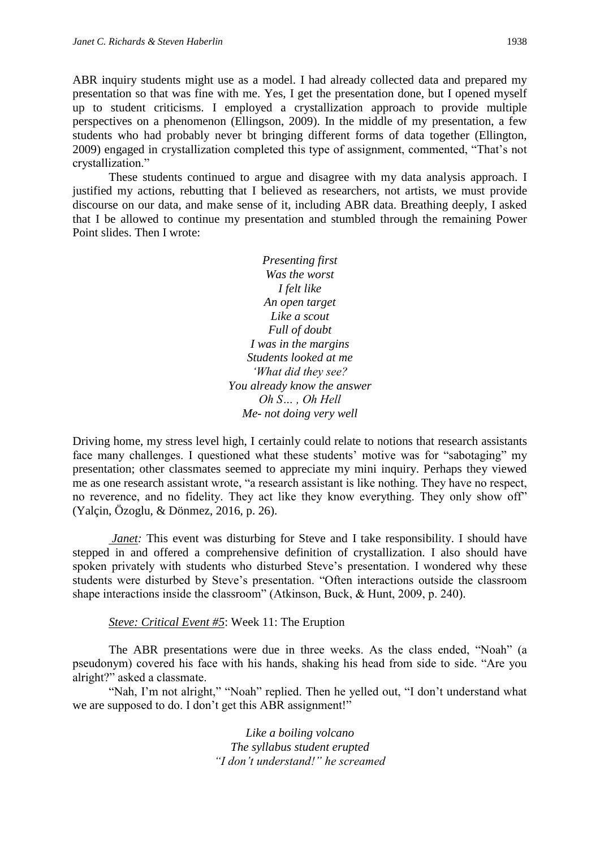ABR inquiry students might use as a model. I had already collected data and prepared my presentation so that was fine with me. Yes, I get the presentation done, but I opened myself up to student criticisms. I employed a crystallization approach to provide multiple perspectives on a phenomenon (Ellingson, 2009). In the middle of my presentation, a few students who had probably never bt bringing different forms of data together (Ellington, 2009) engaged in crystallization completed this type of assignment, commented, "That's not crystallization."

These students continued to argue and disagree with my data analysis approach. I justified my actions, rebutting that I believed as researchers, not artists, we must provide discourse on our data, and make sense of it, including ABR data. Breathing deeply, I asked that I be allowed to continue my presentation and stumbled through the remaining Power Point slides. Then I wrote:

> *Presenting first Was the worst I felt like An open target Like a scout Full of doubt I was in the margins Students looked at me 'What did they see? You already know the answer Oh S… , Oh Hell Me- not doing very well*

Driving home, my stress level high, I certainly could relate to notions that research assistants face many challenges. I questioned what these students' motive was for "sabotaging" my presentation; other classmates seemed to appreciate my mini inquiry. Perhaps they viewed me as one research assistant wrote, "a research assistant is like nothing. They have no respect, no reverence, and no fidelity. They act like they know everything. They only show off" (Yalçin, Özoglu, & Dönmez, 2016, p. 26).

*Janet:* This event was disturbing for Steve and I take responsibility. I should have stepped in and offered a comprehensive definition of crystallization. I also should have spoken privately with students who disturbed Steve's presentation. I wondered why these students were disturbed by Steve's presentation. "Often interactions outside the classroom shape interactions inside the classroom" (Atkinson, Buck, & Hunt, 2009, p. 240).

*Steve: Critical Event #5*: Week 11: The Eruption

The ABR presentations were due in three weeks. As the class ended, "Noah" (a pseudonym) covered his face with his hands, shaking his head from side to side. "Are you alright?" asked a classmate.

"Nah, I'm not alright," "Noah" replied. Then he yelled out, "I don't understand what we are supposed to do. I don't get this ABR assignment!"

> *Like a boiling volcano The syllabus student erupted "I don't understand!" he screamed*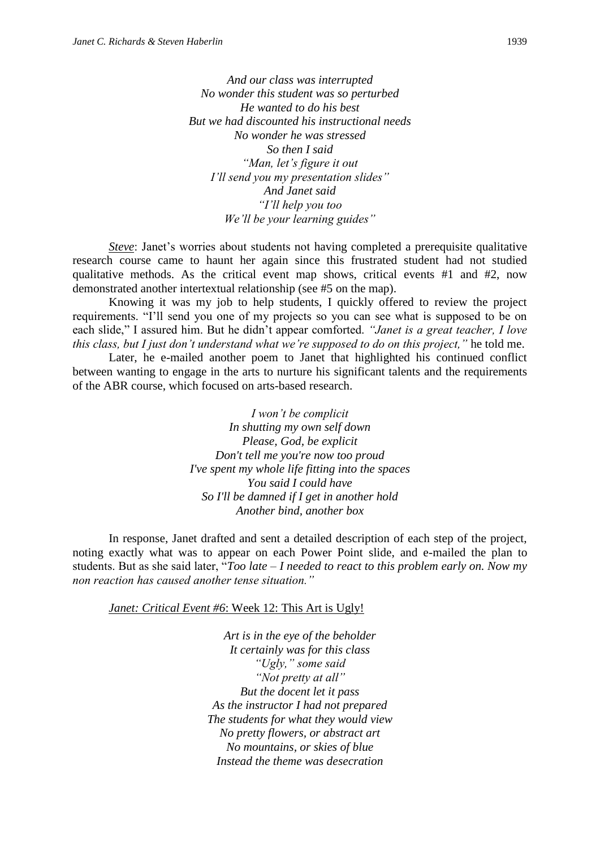*And our class was interrupted No wonder this student was so perturbed He wanted to do his best But we had discounted his instructional needs No wonder he was stressed So then I said "Man, let's figure it out I'll send you my presentation slides" And Janet said "I'll help you too We'll be your learning guides"*

*Steve*: Janet's worries about students not having completed a prerequisite qualitative research course came to haunt her again since this frustrated student had not studied qualitative methods. As the critical event map shows, critical events #1 and #2, now demonstrated another intertextual relationship (see #5 on the map).

Knowing it was my job to help students, I quickly offered to review the project requirements. "I'll send you one of my projects so you can see what is supposed to be on each slide," I assured him. But he didn't appear comforted. *"Janet is a great teacher, I love this class, but I just don't understand what we're supposed to do on this project,"* he told me.

Later, he e-mailed another poem to Janet that highlighted his continued conflict between wanting to engage in the arts to nurture his significant talents and the requirements of the ABR course, which focused on arts-based research.

> *I won't be complicit In shutting my own self down Please, God, be explicit Don't tell me you're now too proud I've spent my whole life fitting into the spaces You said I could have So I'll be damned if I get in another hold Another bind, another box*

In response, Janet drafted and sent a detailed description of each step of the project, noting exactly what was to appear on each Power Point slide, and e-mailed the plan to students. But as she said later, "*Too late – I needed to react to this problem early on. Now my non reaction has caused another tense situation."*

*Janet: Critical Event #6*: Week 12: This Art is Ugly!

*Art is in the eye of the beholder It certainly was for this class "Ugly," some said "Not pretty at all" But the docent let it pass As the instructor I had not prepared The students for what they would view No pretty flowers, or abstract art No mountains, or skies of blue Instead the theme was desecration*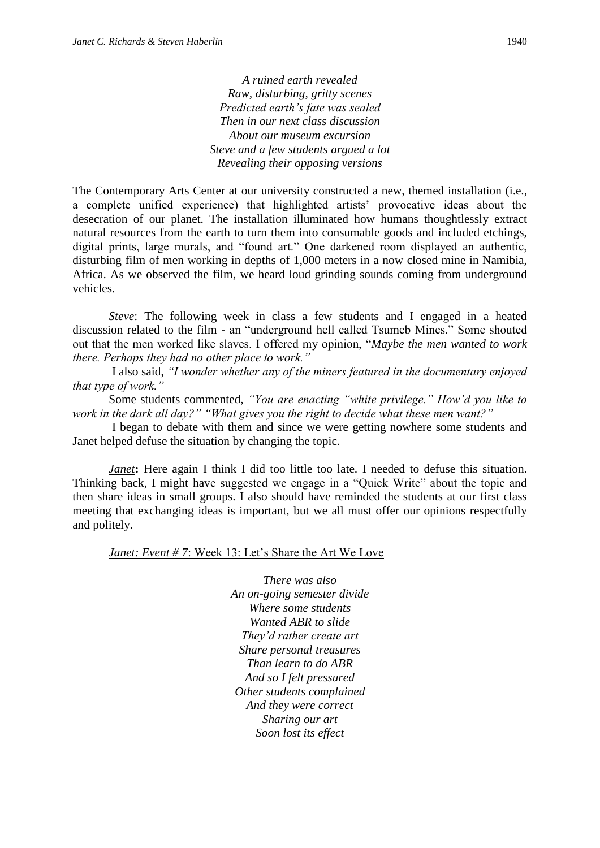*A ruined earth revealed Raw, disturbing, gritty scenes Predicted earth's fate was sealed Then in our next class discussion About our museum excursion Steve and a few students argued a lot Revealing their opposing versions*

The Contemporary Arts Center at our university constructed a new, themed installation (i.e., a complete unified experience) that highlighted artists' provocative ideas about the desecration of our planet. The installation illuminated how humans thoughtlessly extract natural resources from the earth to turn them into consumable goods and included etchings, digital prints, large murals, and "found art." One darkened room displayed an authentic, disturbing film of men working in depths of 1,000 meters in a now closed mine in Namibia, Africa. As we observed the film, we heard loud grinding sounds coming from underground vehicles.

*Steve*: The following week in class a few students and I engaged in a heated discussion related to the film - an "underground hell called Tsumeb Mines." Some shouted out that the men worked like slaves. I offered my opinion, "*Maybe the men wanted to work there. Perhaps they had no other place to work."*

I also said, *"I wonder whether any of the miners featured in the documentary enjoyed that type of work."*

Some students commented, *"You are enacting "white privilege." How'd you like to work in the dark all day?" "What gives you the right to decide what these men want?"* 

I began to debate with them and since we were getting nowhere some students and Janet helped defuse the situation by changing the topic.

*Janet***:** Here again I think I did too little too late. I needed to defuse this situation. Thinking back, I might have suggested we engage in a "Quick Write" about the topic and then share ideas in small groups. I also should have reminded the students at our first class meeting that exchanging ideas is important, but we all must offer our opinions respectfully and politely.

*Janet: Event # 7*: Week 13: Let's Share the Art We Love

*There was also An on-going semester divide Where some students Wanted ABR to slide They'd rather create art Share personal treasures Than learn to do ABR And so I felt pressured Other students complained And they were correct Sharing our art Soon lost its effect*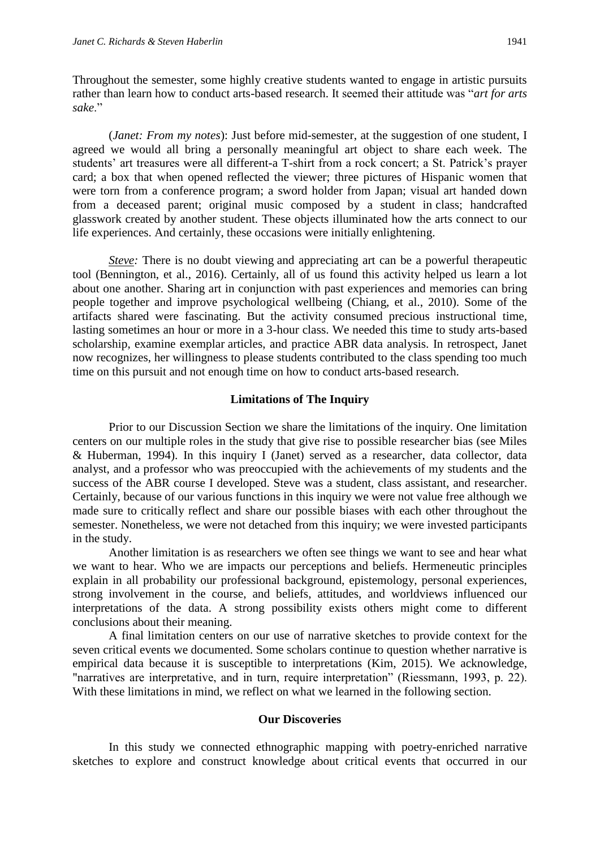Throughout the semester, some highly creative students wanted to engage in artistic pursuits rather than learn how to conduct arts-based research. It seemed their attitude was "*art for arts sake*."

(*Janet: From my notes*): Just before mid-semester, at the suggestion of one student, I agreed we would all bring a personally meaningful art object to share each week. The students' art treasures were all different-a T-shirt from a rock concert; a St. Patrick's prayer card; a box that when opened reflected the viewer; three pictures of Hispanic women that were torn from a conference program; a sword holder from Japan; visual art handed down from a deceased parent; original music composed by a student in class; handcrafted glasswork created by another student. These objects illuminated how the arts connect to our life experiences. And certainly, these occasions were initially enlightening.

*Steve:* There is no doubt viewing and appreciating art can be a powerful therapeutic tool (Bennington, et al., 2016). Certainly, all of us found this activity helped us learn a lot about one another. Sharing art in conjunction with past experiences and memories can bring people together and improve psychological wellbeing (Chiang, et al., 2010). Some of the artifacts shared were fascinating. But the activity consumed precious instructional time, lasting sometimes an hour or more in a 3-hour class. We needed this time to study arts-based scholarship, examine exemplar articles, and practice ABR data analysis. In retrospect, Janet now recognizes, her willingness to please students contributed to the class spending too much time on this pursuit and not enough time on how to conduct arts-based research.

#### **Limitations of The Inquiry**

Prior to our Discussion Section we share the limitations of the inquiry. One limitation centers on our multiple roles in the study that give rise to possible researcher bias (see Miles & Huberman, 1994). In this inquiry I (Janet) served as a researcher, data collector, data analyst, and a professor who was preoccupied with the achievements of my students and the success of the ABR course I developed. Steve was a student, class assistant, and researcher. Certainly, because of our various functions in this inquiry we were not value free although we made sure to critically reflect and share our possible biases with each other throughout the semester. Nonetheless, we were not detached from this inquiry; we were invested participants in the study.

Another limitation is as researchers we often see things we want to see and hear what we want to hear. Who we are impacts our perceptions and beliefs. Hermeneutic principles explain in all probability our professional background, epistemology, personal experiences, strong involvement in the course, and beliefs, attitudes, and worldviews influenced our interpretations of the data. A strong possibility exists others might come to different conclusions about their meaning.

A final limitation centers on our use of narrative sketches to provide context for the seven critical events we documented. Some scholars continue to question whether narrative is empirical data because it is susceptible to interpretations (Kim, 2015). We acknowledge, "narratives are interpretative, and in turn, require interpretation" (Riessmann, 1993, p. 22). With these limitations in mind, we reflect on what we learned in the following section.

#### **Our Discoveries**

In this study we connected ethnographic mapping with poetry-enriched narrative sketches to explore and construct knowledge about critical events that occurred in our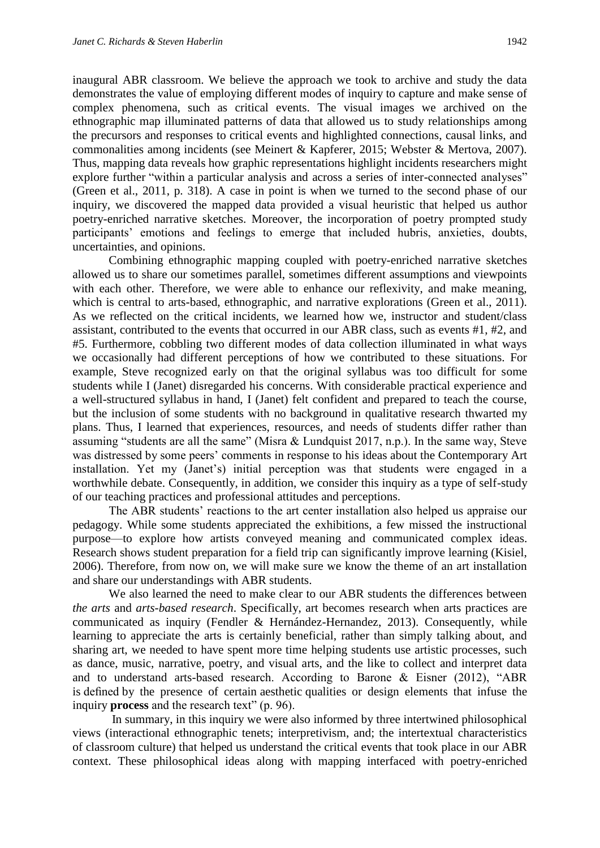inaugural ABR classroom. We believe the approach we took to archive and study the data demonstrates the value of employing different modes of inquiry to capture and make sense of complex phenomena, such as critical events. The visual images we archived on the ethnographic map illuminated patterns of data that allowed us to study relationships among the precursors and responses to critical events and highlighted connections, causal links, and commonalities among incidents (see Meinert & Kapferer, 2015; Webster & Mertova, 2007). Thus, mapping data reveals how graphic representations highlight incidents researchers might explore further "within a particular analysis and across a series of inter-connected analyses" (Green et al., 2011, p. 318). A case in point is when we turned to the second phase of our inquiry, we discovered the mapped data provided a visual heuristic that helped us author poetry-enriched narrative sketches. Moreover, the incorporation of poetry prompted study participants' emotions and feelings to emerge that included hubris, anxieties, doubts, uncertainties, and opinions.

Combining ethnographic mapping coupled with poetry-enriched narrative sketches allowed us to share our sometimes parallel, sometimes different assumptions and viewpoints with each other. Therefore, we were able to enhance our reflexivity, and make meaning, which is central to arts-based, ethnographic, and narrative explorations (Green et al., 2011). As we reflected on the critical incidents, we learned how we, instructor and student/class assistant, contributed to the events that occurred in our ABR class, such as events #1, #2, and #5. Furthermore, cobbling two different modes of data collection illuminated in what ways we occasionally had different perceptions of how we contributed to these situations. For example, Steve recognized early on that the original syllabus was too difficult for some students while I (Janet) disregarded his concerns. With considerable practical experience and a well-structured syllabus in hand, I (Janet) felt confident and prepared to teach the course, but the inclusion of some students with no background in qualitative research thwarted my plans. Thus, I learned that experiences, resources, and needs of students differ rather than assuming "students are all the same" (Misra & Lundquist 2017, n.p.). In the same way, Steve was distressed by some peers' comments in response to his ideas about the Contemporary Art installation. Yet my (Janet's) initial perception was that students were engaged in a worthwhile debate. Consequently, in addition, we consider this inquiry as a type of self-study of our teaching practices and professional attitudes and perceptions.

The ABR students' reactions to the art center installation also helped us appraise our pedagogy. While some students appreciated the exhibitions, a few missed the instructional purpose—to explore how artists conveyed meaning and communicated complex ideas. Research shows student preparation for a field trip can significantly improve learning (Kisiel, 2006). Therefore, from now on, we will make sure we know the theme of an art installation and share our understandings with ABR students.

We also learned the need to make clear to our ABR students the differences between *the arts* and *arts-based research*. Specifically, art becomes research when arts practices are communicated as inquiry (Fendler & Hernández-Hernandez, 2013). Consequently, while learning to appreciate the arts is certainly beneficial, rather than simply talking about, and sharing art, we needed to have spent more time helping students use artistic processes, such as dance, music, narrative, poetry, and visual arts, and the like to collect and interpret data and to understand arts-based research. According to Barone & Eisner (2012), "ABR is defined by the presence of certain aesthetic qualities or design elements that infuse the inquiry **process** and the research text" (p. 96).

In summary, in this inquiry we were also informed by three intertwined philosophical views (interactional ethnographic tenets; interpretivism, and; the intertextual characteristics of classroom culture) that helped us understand the critical events that took place in our ABR context. These philosophical ideas along with mapping interfaced with poetry-enriched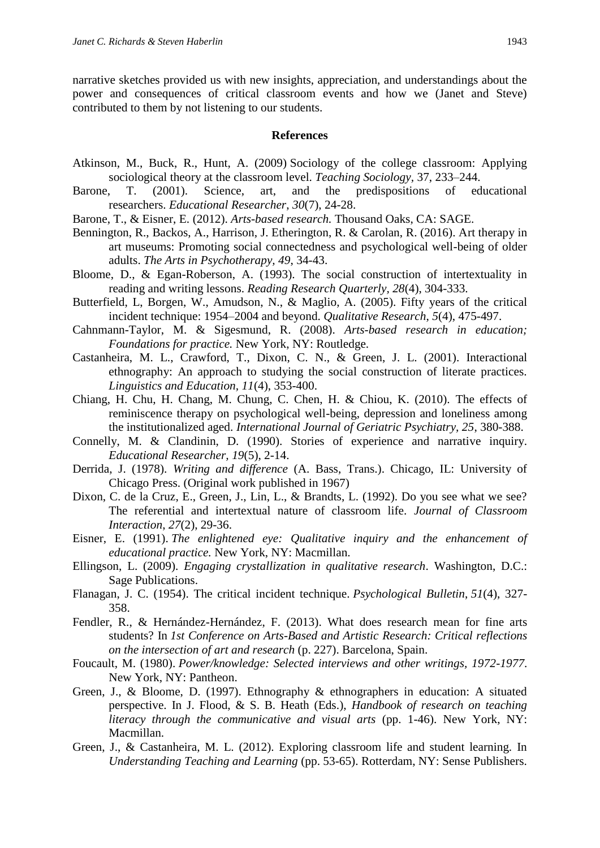narrative sketches provided us with new insights, appreciation, and understandings about the power and consequences of critical classroom events and how we (Janet and Steve) contributed to them by not listening to our students.

#### **References**

- Atkinson, M., Buck, R., Hunt, A. (2009) Sociology of the college classroom: Applying sociological theory at the classroom level. *Teaching Sociology,* 37, 233–244.
- Barone, T. (2001). Science, art, and the predispositions of educational researchers. *Educational Researcher*, *30*(7), 24-28.
- Barone, T., & Eisner, E. (2012). *Arts-based research.* Thousand Oaks, CA: SAGE.
- Bennington, R., Backos, A., Harrison, J. Etherington, R. & Carolan, R. (2016). Art therapy in art museums: Promoting social connectedness and psychological well-being of older adults. *The Arts in Psychotherapy, 49*, 34-43.
- Bloome, D., & Egan-Roberson, A. (1993). The social construction of intertextuality in reading and writing lessons. *Reading Research Quarterly, 28*(4), 304-333.
- Butterfield, L, Borgen, W., Amudson, N., & Maglio, A. (2005). Fifty years of the critical incident technique: 1954–2004 and beyond. *Qualitative Research*, *5*(4), 475-497.
- Cahnmann-Taylor, M. & Sigesmund, R. (2008). *Arts-based research in education; Foundations for practice.* New York, NY: Routledge.
- Castanheira, M. L., Crawford, T., Dixon, C. N., & Green, J. L. (2001). Interactional ethnography: An approach to studying the social construction of literate practices. *Linguistics and Education, 11*(4), 353-400.
- Chiang, H. Chu, H. Chang, M. Chung, C. Chen, H. & Chiou, K. (2010). The effects of reminiscence therapy on psychological well-being, depression and loneliness among the institutionalized aged. *International Journal of Geriatric Psychiatry, 25*, 380-388.
- Connelly, M. & Clandinin, D. (1990). Stories of experience and narrative inquiry. *Educational Researcher, 19*(5), 2-14.
- Derrida, J. (1978). *Writing and difference* (A. Bass, Trans.). Chicago, IL: University of Chicago Press. (Original work published in 1967)
- Dixon, C. de la Cruz, E., Green, J., Lin, L., & Brandts, L. (1992). Do you see what we see? The referential and intertextual nature of classroom life. *Journal of Classroom Interaction*, *27*(2), 29-36.
- Eisner, E. (1991). *The enlightened eye: Qualitative inquiry and the enhancement of educational practice.* New York, NY: Macmillan.
- Ellingson, L. (2009). *Engaging crystallization in qualitative research*. Washington, D.C.: Sage Publications.
- Flanagan, J. C. (1954). The critical incident technique. *Psychological Bulletin*, *51*(4), 327- 358.
- Fendler, R., & Hernández-Hernández, F. (2013). What does research mean for fine arts students? In *1st Conference on Arts-Based and Artistic Research: Critical reflections on the intersection of art and research* (p. 227). Barcelona, Spain.
- Foucault, M. (1980). *Power/knowledge: Selected interviews and other writings, 1972-1977*. New York, NY: Pantheon.
- Green, J., & Bloome, D. (1997). Ethnography & ethnographers in education: A situated perspective. In J. Flood, & S. B. Heath (Eds.), *Handbook of research on teaching literacy through the communicative and visual arts* (pp. 1-46). New York, NY: Macmillan.
- Green, J., & Castanheira, M. L. (2012). Exploring classroom life and student learning. In *Understanding Teaching and Learning* (pp. 53-65). Rotterdam, NY: Sense Publishers.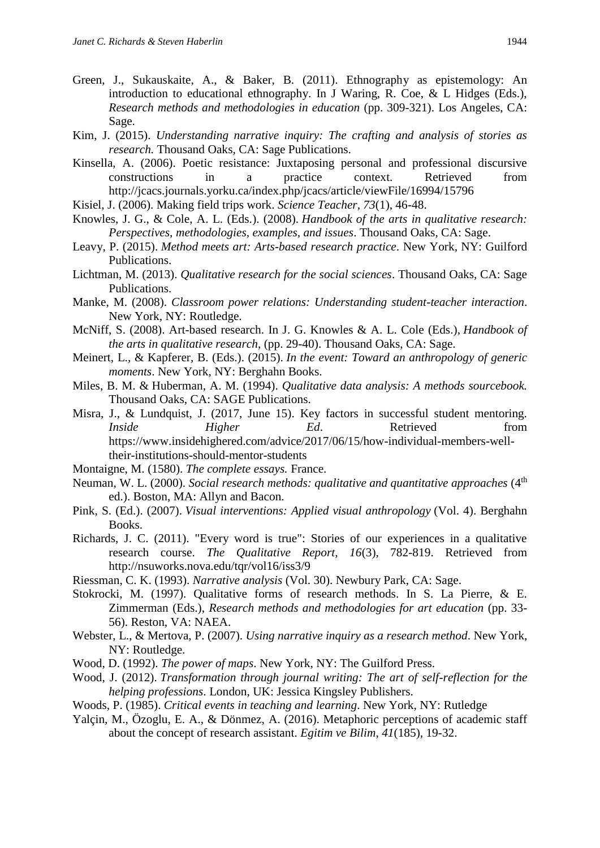- Green, J., Sukauskaite, A., & Baker, B. (2011). Ethnography as epistemology: An introduction to educational ethnography. In J Waring, R. Coe, & L Hidges (Eds.), *Research methods and methodologies in education* (pp. 309-321). Los Angeles, CA: Sage.
- Kim, J. (2015). *Understanding narrative inquiry: The crafting and analysis of stories as research.* Thousand Oaks, CA: Sage Publications.
- Kinsella, A. (2006). Poetic resistance: Juxtaposing personal and professional discursive constructions in a practice context. Retrieved from <http://jcacs.journals.yorku.ca/index.php/jcacs/article/viewFile/16994/15796>
- Kisiel, J. (2006). Making field trips work. *Science Teacher, 73*(1), 46-48.
- Knowles, J. G., & Cole, A. L. (Eds.). (2008). *Handbook of the arts in qualitative research: Perspectives, methodologies, examples, and issues*. Thousand Oaks, CA: Sage.
- Leavy, P. (2015). *Method meets art: Arts-based research practice*. New York, NY: Guilford Publications.
- Lichtman, M. (2013). *Qualitative research for the social sciences*. Thousand Oaks, CA: Sage Publications.
- Manke, M. (2008). *Classroom power relations: Understanding student-teacher interaction*. New York, NY: Routledge.
- McNiff, S. (2008). Art-based research. In J. G. Knowles & A. L. Cole (Eds.), *Handbook of the arts in qualitative research*, (pp. 29-40). Thousand Oaks, CA: Sage.
- Meinert, L., & Kapferer, B. (Eds.). (2015). *In the event: Toward an anthropology of generic moments*. New York, NY: Berghahn Books.
- Miles, B. M. & Huberman, A. M. (1994). *Qualitative data analysis: A methods sourcebook.*  Thousand Oaks, CA: SAGE Publications.
- Misra, J., & Lundquist, J. (2017, June 15). Key factors in successful student mentoring. *Inside Higher Ed.* Retrieved from [https://www.insidehighered.com/advice/2017/06/15/how-individual-members-well](https://www.insidehighered.com/advice/2017/06/15/how-individual-members-well-their-institutions-should-mentor-students)[their-institutions-should-mentor-students](https://www.insidehighered.com/advice/2017/06/15/how-individual-members-well-their-institutions-should-mentor-students)
- Montaigne, M. (1580). *The complete essays.* France.
- Neuman, W. L. (2000). *Social research methods: qualitative and quantitative approaches* (4<sup>th</sup>) ed.). Boston, MA: Allyn and Bacon.
- Pink, S. (Ed.). (2007). *Visual interventions: Applied visual anthropology* (Vol. 4). Berghahn Books.
- Richards, J. C. (2011). "Every word is true": Stories of our experiences in a qualitative research course. *The Qualitative Report, 16*(3), 782-819. Retrieved from <http://nsuworks.nova.edu/tqr/vol16/iss3/9>
- Riessman, C. K. (1993). *Narrative analysis* (Vol. 30). Newbury Park, CA: Sage.
- Stokrocki, M. (1997). Qualitative forms of research methods. In S. La Pierre, & E. Zimmerman (Eds.), *Research methods and methodologies for art education* (pp. 33- 56). Reston, VA: NAEA.
- Webster, L., & Mertova, P. (2007). *Using narrative inquiry as a research method*. New York, NY: Routledge.
- Wood, D. (1992). *The power of maps*. New York, NY: The Guilford Press.
- Wood, J. (2012). *Transformation through journal writing: The art of self-reflection for the helping professions*. London, UK: Jessica Kingsley Publishers.
- Woods, P. (1985). *Critical events in teaching and learning*. New York, NY: Rutledge
- Yalçin, M., Özoglu, E. A., & Dönmez, A. (2016). Metaphoric perceptions of academic staff about the concept of research assistant. *Egitim ve Bilim*, *41*(185), 19-32.